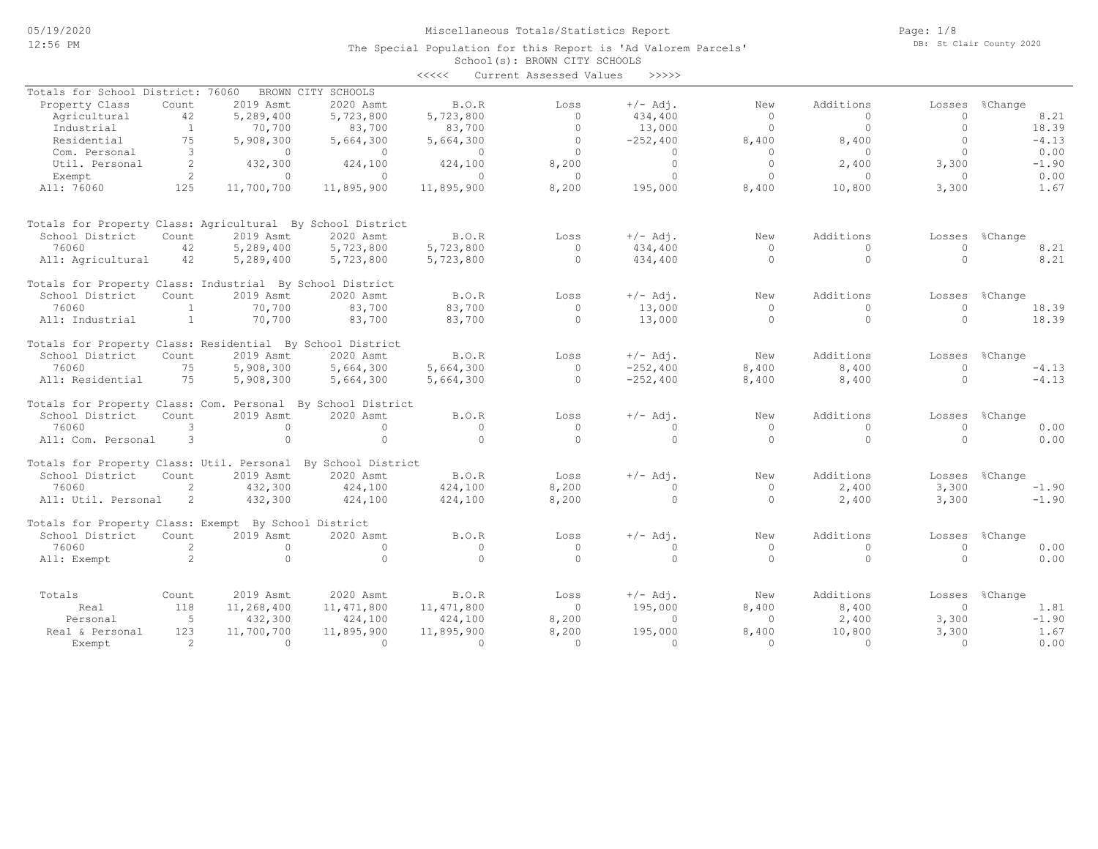School(s): BROWN CITY SCHOOLS The Special Population for this Report is 'Ad Valorem Parcels'

| Totals for School District: 76060<br>BROWN CITY SCHOOLS<br>2020 Asmt<br>$+/-$ Adj.<br>Additions<br>Property Class<br>Count<br>2019 Asmt<br>B.O.R<br>Loss<br>New<br>42<br>5,289,400<br>5,723,800<br>5,723,800<br>$\circ$<br>434,400<br>$\circ$<br>$\Omega$<br>Agricultural | Losses<br>$\circ$ | %Change |
|---------------------------------------------------------------------------------------------------------------------------------------------------------------------------------------------------------------------------------------------------------------------------|-------------------|---------|
|                                                                                                                                                                                                                                                                           |                   |         |
|                                                                                                                                                                                                                                                                           |                   |         |
|                                                                                                                                                                                                                                                                           |                   | 8.21    |
| $\circ$<br>$\circ$<br>1<br>70,700<br>83,700<br>83,700<br>13,000<br>$\circ$<br>Industrial                                                                                                                                                                                  | $\circ$           | 18.39   |
| 75<br>$\circ$<br>Residential<br>5,908,300<br>5,664,300<br>$-252,400$<br>8,400<br>8,400<br>5,664,300                                                                                                                                                                       | $\circ$           | $-4.13$ |
| 3<br>$\circ$<br>Com. Personal<br>$\circ$<br>$\circ$<br>$\circ$<br>$\Omega$<br>$\circ$<br>$\circ$                                                                                                                                                                          | $\Omega$          | 0.00    |
| $\Omega$<br>Util. Personal<br>2<br>432,300<br>424,100<br>424,100<br>8,200<br>$\Omega$<br>2,400                                                                                                                                                                            | 3,300             | $-1.90$ |
| 2<br>$\circ$<br>$\mathbf{0}$<br>$\circ$<br>$\circ$<br>$\circ$<br>$\circ$<br>$\circ$                                                                                                                                                                                       | $\circ$           | 0.00    |
| Exempt                                                                                                                                                                                                                                                                    |                   |         |
| 125<br>8,200<br>195,000<br>8,400<br>10,800<br>All: 76060<br>11,700,700<br>11,895,900<br>11,895,900                                                                                                                                                                        | 3,300             | 1.67    |
| Totals for Property Class: Agricultural By School District                                                                                                                                                                                                                |                   |         |
| School District<br>2019 Asmt<br>2020 Asmt<br>$+/-$ Adj.<br>Additions<br>Count<br>B.O.R<br>Loss<br>New                                                                                                                                                                     | Losses            | %Change |
| 76060<br>42<br>5,289,400<br>5,723,800<br>5,723,800<br>$\Omega$<br>434,400<br>$\circ$<br>$\Omega$                                                                                                                                                                          | $\Omega$          | 8.21    |
| $\circ$<br>$\circ$<br>42<br>5,289,400<br>5,723,800<br>5,723,800<br>434,400<br>$\circ$<br>All: Agricultural                                                                                                                                                                | $\Omega$          | 8.21    |
|                                                                                                                                                                                                                                                                           |                   |         |
| Totals for Property Class: Industrial By School District                                                                                                                                                                                                                  |                   |         |
| School District<br>Count<br>2019 Asmt<br>2020 Asmt<br>B.O.R<br>$+/-$ Adi.<br>Additions<br>Loss<br>New                                                                                                                                                                     | Losses            | %Change |
| 76060<br>83,700<br>83,700<br>$\circ$<br>13,000<br>$\mathbf{1}$<br>70,700<br>$\circ$<br>$\mathbf{0}$                                                                                                                                                                       | $\Omega$          | 18.39   |
| $\mathbf{1}$<br>70,700<br>83,700<br>83,700<br>$\Omega$<br>13,000<br>$\Omega$<br>$\Omega$<br>All: Industrial                                                                                                                                                               | $\cap$            | 18.39   |
| Totals for Property Class: Residential By School District                                                                                                                                                                                                                 |                   |         |
| B.O.R<br>$+/-$ Adj.<br>Additions<br>School District<br>Count<br>2019 Asmt<br>2020 Asmt<br>New<br>Loss                                                                                                                                                                     | Losses            | %Change |
| 8,400<br>76060<br>75<br>5,908,300<br>5,664,300<br>5,664,300<br>$\circ$<br>$-252,400$<br>8,400                                                                                                                                                                             | $\Omega$          | $-4.13$ |
| All: Residential<br>75<br>5,908,300<br>5,664,300<br>5,664,300<br>$\circ$<br>$-252,400$<br>8,400<br>8,400                                                                                                                                                                  | $\Omega$          | $-4.13$ |
| Totals for Property Class: Com. Personal By School District                                                                                                                                                                                                               |                   |         |
| B.O.R<br>Additions<br>School District<br>Count<br>2019 Asmt<br>2020 Asmt<br>$+/-$ Adj.<br>New<br>Loss                                                                                                                                                                     | Losses            | %Change |
| 76060<br>3<br>0<br>$\circ$<br>$\circ$<br>$\circ$<br>$\circ$<br>$\circ$<br>$\bigcap$                                                                                                                                                                                       | $\mathbf{0}$      | 0.00    |
| $\circ$<br>$\Omega$<br>3<br>$\circ$<br>$\Omega$<br>$\circ$<br>$\Omega$<br>$\circ$<br>All: Com. Personal                                                                                                                                                                   | $\Omega$          | 0.00    |
| Totals for Property Class: Util. Personal By School District                                                                                                                                                                                                              |                   |         |
| 2020 Asmt<br>Additions<br>School District<br>Count<br>2019 Asmt<br>B.O.R<br>$+/-$ Adj.<br>Loss<br>New                                                                                                                                                                     | Losses            | %Change |
| 2,400<br>76060<br>2<br>432,300<br>424,100<br>424,100<br>8,200<br>$\Omega$<br>$\circ$                                                                                                                                                                                      | 3,300             | $-1.90$ |
| 2<br>432,300<br>424,100<br>424,100<br>8,200<br>$\Omega$<br>$\Omega$<br>2,400<br>All: Util. Personal                                                                                                                                                                       | 3,300             | $-1.90$ |
| Totals for Property Class: Exempt By School District                                                                                                                                                                                                                      |                   |         |
| 2019 Asmt<br>2020 Asmt<br>$+/-$ Adj.<br>Additions<br>School District<br>Count<br><b>B.O.R</b><br>Loss<br>New                                                                                                                                                              | Losses            | %Change |
| 76060<br>2<br>$\circ$<br>$\circ$<br>$\circ$<br>$\circ$<br>$\circ$<br>$\circ$<br>$\circ$                                                                                                                                                                                   | $\circ$           | 0.00    |
| 2<br>$\circ$<br>$\circ$<br>$\Omega$<br>$\Omega$<br>$\Omega$<br>$\Omega$<br>$\circ$<br>All: Exempt                                                                                                                                                                         | $\Omega$          | 0.00    |
|                                                                                                                                                                                                                                                                           |                   |         |
| Additions<br>2019 Asmt<br>2020 Asmt<br>B.O.R<br>$+/-$ Adj.<br>Totals<br>Count<br>New<br>Loss                                                                                                                                                                              | Losses            | %Change |
| 11, 471, 800<br>195,000<br>8,400<br>Real<br>118<br>11,268,400<br>11,471,800<br>$\circ$<br>8,400                                                                                                                                                                           | $\Omega$          | 1.81    |
| 5<br>2,400<br>Personal<br>432,300<br>424,100<br>424,100<br>8,200<br>$\Omega$<br>$\circ$                                                                                                                                                                                   | 3,300             | $-1.90$ |
| 123<br>Real & Personal<br>11,700,700<br>11,895,900<br>11,895,900<br>8,200<br>195,000<br>8,400<br>10,800                                                                                                                                                                   | 3,300             | 1.67    |
| 2<br>$\Omega$<br>$\Omega$<br>$\Omega$<br>$\Omega$<br>$\Omega$<br>$\Omega$<br>$\Omega$<br>Exempt                                                                                                                                                                           | $\Omega$          | 0.00    |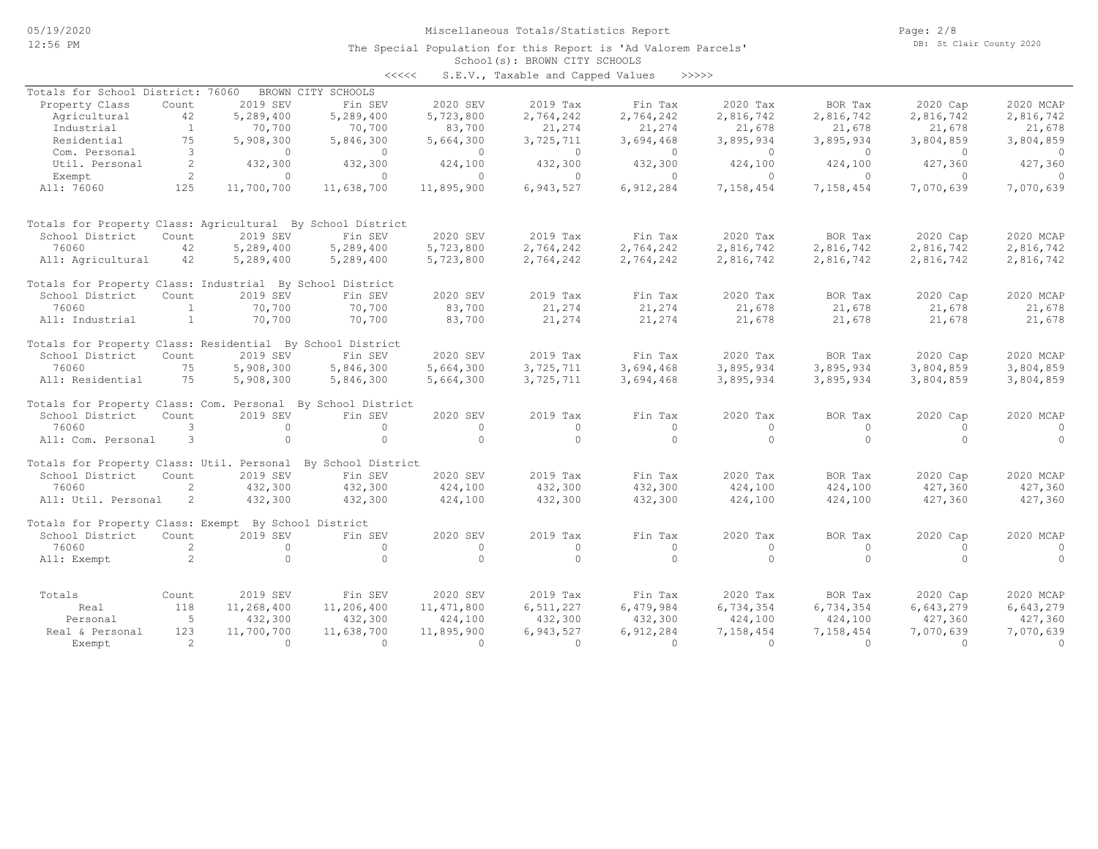The Special Population for this Report is 'Ad Valorem Parcels'

Page: 2/8 DB: St Clair County 2020

# School(s): BROWN CITY SCHOOLS

| くくくくく | S.E.V., Taxable and Capped Values |  |  |  | >>>>> |
|-------|-----------------------------------|--|--|--|-------|
|-------|-----------------------------------|--|--|--|-------|

| Totals for School District: 76060                          |                      |            | BROWN CITY SCHOOLS |              |           |           |           |           |           |            |
|------------------------------------------------------------|----------------------|------------|--------------------|--------------|-----------|-----------|-----------|-----------|-----------|------------|
| Property Class                                             | Count                | 2019 SEV   | Fin SEV            | 2020 SEV     | 2019 Tax  | Fin Tax   | 2020 Tax  | BOR Tax   | 2020 Cap  | 2020 MCAP  |
| Agricultural                                               | 42                   | 5,289,400  | 5,289,400          | 5,723,800    | 2,764,242 | 2,764,242 | 2,816,742 | 2,816,742 | 2,816,742 | 2,816,742  |
| Industrial                                                 | $\mathbf{1}$         | 70,700     | 70,700             | 83,700       | 21,274    | 21,274    | 21,678    | 21,678    | 21,678    | 21,678     |
| Residential                                                | 75                   | 5,908,300  | 5,846,300          | 5,664,300    | 3,725,711 | 3,694,468 | 3,895,934 | 3,895,934 | 3,804,859 | 3,804,859  |
| Com. Personal                                              | 3                    | $\Omega$   | $\circ$            | $\circ$      | $\circ$   | $\circ$   | $\circ$   | $\Omega$  | $\Omega$  | $\circ$    |
| Util. Personal                                             | 2                    | 432,300    | 432,300            | 424,100      | 432,300   | 432,300   | 424,100   | 424,100   | 427,360   | 427,360    |
| Exempt                                                     | $\mathbf{2}^{\circ}$ | $\Omega$   | $\Omega$           | $\Omega$     | $\Omega$  | $\circ$   | $\Omega$  | $\Omega$  | $\Omega$  | $\bigcirc$ |
| All: 76060                                                 | 125                  | 11,700,700 | 11,638,700         | 11,895,900   | 6,943,527 | 6,912,284 | 7,158,454 | 7,158,454 | 7,070,639 | 7,070,639  |
| Totals for Property Class: Agricultural By School District |                      |            |                    |              |           |           |           |           |           |            |
| School District                                            | Count                | 2019 SEV   | Fin SEV            | 2020 SEV     | 2019 Tax  | Fin Tax   | 2020 Tax  | BOR Tax   | 2020 Cap  | 2020 MCAP  |
| 76060                                                      | 42                   | 5,289,400  | 5,289,400          | 5,723,800    | 2,764,242 | 2,764,242 | 2,816,742 | 2,816,742 | 2,816,742 | 2,816,742  |
| All: Agricultural                                          | 42                   | 5,289,400  | 5,289,400          | 5,723,800    | 2,764,242 | 2,764,242 | 2,816,742 | 2,816,742 | 2,816,742 | 2,816,742  |
| Totals for Property Class: Industrial By School District   |                      |            |                    |              |           |           |           |           |           |            |
| School District                                            | Count                | 2019 SEV   | Fin SEV            | 2020 SEV     | 2019 Tax  | Fin Tax   | 2020 Tax  | BOR Tax   | 2020 Cap  | 2020 MCAP  |
| 76060                                                      | -1                   | 70,700     | 70,700             | 83,700       | 21,274    | 21,274    | 21,678    | 21,678    | 21,678    | 21,678     |
| All: Industrial                                            | <sup>1</sup>         | 70,700     | 70,700             | 83,700       | 21,274    | 21,274    | 21,678    | 21,678    | 21,678    | 21,678     |
| Totals for Property Class: Residential By School District  |                      |            |                    |              |           |           |           |           |           |            |
| School District                                            | Count                | 2019 SEV   | Fin SEV            | 2020 SEV     | 2019 Tax  | Fin Tax   | 2020 Tax  | BOR Tax   | 2020 Cap  | 2020 MCAP  |
| 76060                                                      | 75                   | 5,908,300  | 5,846,300          | 5,664,300    | 3,725,711 | 3,694,468 | 3,895,934 | 3,895,934 | 3,804,859 | 3,804,859  |
| All: Residential                                           | 75                   | 5,908,300  | 5,846,300          | 5,664,300    | 3,725,711 | 3,694,468 | 3,895,934 | 3,895,934 | 3,804,859 | 3,804,859  |
| Totals for Property Class: Com. Personal                   |                      |            | By School District |              |           |           |           |           |           |            |
| School District                                            | Count                | 2019 SEV   | Fin SEV            | 2020 SEV     | 2019 Tax  | Fin Tax   | 2020 Tax  | BOR Tax   | 2020 Cap  | 2020 MCAP  |
| 76060                                                      | 3                    | $\circ$    | $\circ$            | $\circ$      | $\circ$   | $\circ$   | $\circ$   | $\circ$   | $\circ$   | $\circ$    |
| All: Com. Personal                                         | 3                    | $\circ$    | $\Omega$           | $\Omega$     | $\Omega$  | $\Omega$  | $\Omega$  | $\Omega$  | $\Omega$  | $\Omega$   |
| Totals for Property Class: Util. Personal                  |                      |            | By School District |              |           |           |           |           |           |            |
| School District                                            | Count                | 2019 SEV   | Fin SEV            | 2020 SEV     | 2019 Tax  | Fin Tax   | 2020 Tax  | BOR Tax   | 2020 Cap  | 2020 MCAP  |
| 76060                                                      | 2                    | 432,300    | 432,300            | 424,100      | 432,300   | 432,300   | 424,100   | 424,100   | 427,360   | 427,360    |
| All: Util. Personal                                        | $\mathbf{2}^{\circ}$ | 432,300    | 432,300            | 424,100      | 432,300   | 432,300   | 424,100   | 424,100   | 427,360   | 427,360    |
| Totals for Property Class: Exempt By School District       |                      |            |                    |              |           |           |           |           |           |            |
| School District                                            | Count                | 2019 SEV   | Fin SEV            | 2020 SEV     | 2019 Tax  | Fin Tax   | 2020 Tax  | BOR Tax   | 2020 Cap  | 2020 MCAP  |
| 76060                                                      | 2                    | $\Omega$   | $\Omega$           | $\circ$      | $\circ$   | $\circ$   | $\circ$   | $\circ$   | $\Omega$  | $\circ$    |
| All: Exempt                                                | 2                    | $\circ$    | $\Omega$           | $\circ$      | $\Omega$  | $\circ$   | $\circ$   | $\circ$   | $\Omega$  | $\Omega$   |
| Totals                                                     | Count                | 2019 SEV   | Fin SEV            | 2020 SEV     | 2019 Tax  | Fin Tax   | 2020 Tax  | BOR Tax   | 2020 Cap  | 2020 MCAP  |
| Real                                                       | 118                  | 11,268,400 | 11,206,400         | 11, 471, 800 | 6,511,227 | 6,479,984 | 6,734,354 | 6,734,354 | 6,643,279 | 6,643,279  |
| Personal                                                   | - 5                  | 432,300    | 432,300            | 424,100      | 432,300   | 432,300   | 424,100   | 424,100   | 427,360   | 427,360    |
| Real & Personal                                            | 123                  | 11,700,700 | 11,638,700         | 11,895,900   | 6,943,527 | 6,912,284 | 7,158,454 | 7,158,454 | 7,070,639 | 7,070,639  |
| Exempt                                                     | $\mathfrak{D}$       | $\Omega$   | $\Omega$           | $\Omega$     | $\Omega$  | $\Omega$  | $\Omega$  | $\Omega$  | $\Omega$  | $\Omega$   |
|                                                            |                      |            |                    |              |           |           |           |           |           |            |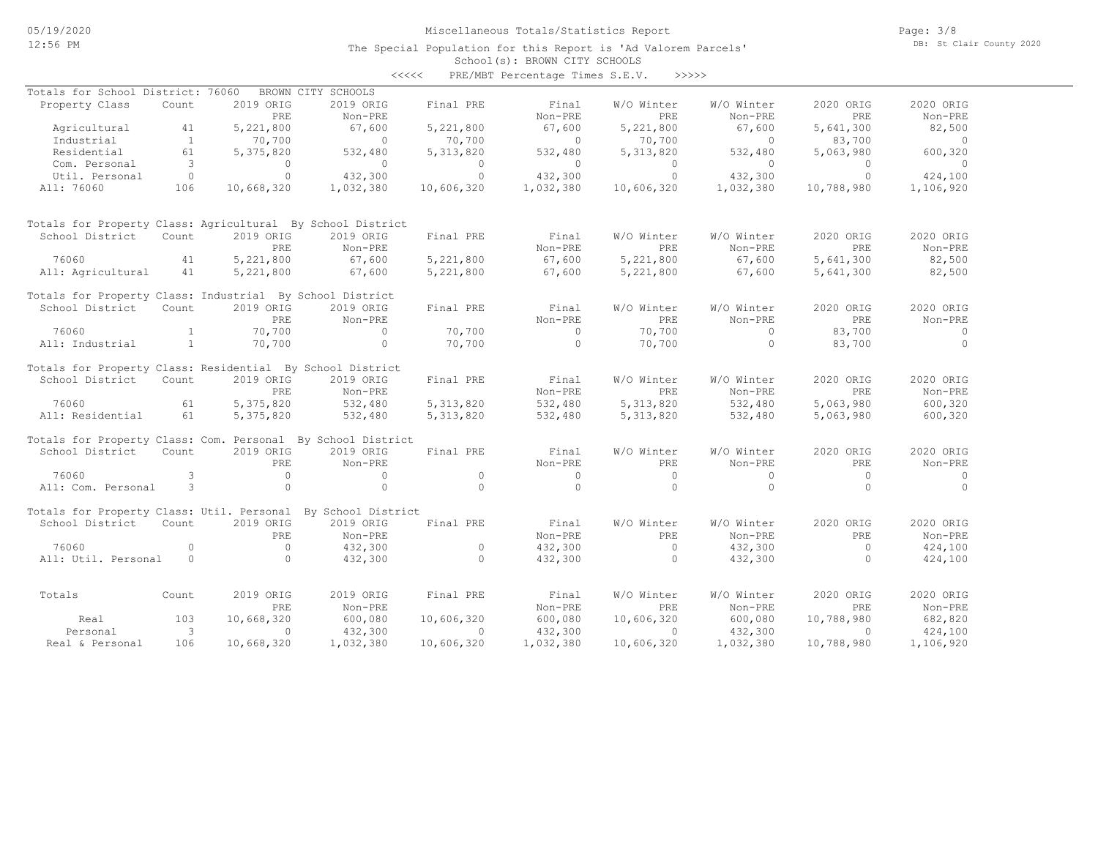Page: 3/8 DB: St Clair County 2020

#### School(s): BROWN CITY SCHOOLS The Special Population for this Report is 'Ad Valorem Parcels'

|                                                              |                         |            |                    | <<<<        | PRE/MBT Percentage Times S.E.V. | >>>>>       |            |            |           |
|--------------------------------------------------------------|-------------------------|------------|--------------------|-------------|---------------------------------|-------------|------------|------------|-----------|
| Totals for School District: 76060                            |                         |            | BROWN CITY SCHOOLS |             |                                 |             |            |            |           |
| Property Class                                               | Count                   | 2019 ORIG  | 2019 ORIG          | Final PRE   | Final                           | W/O Winter  | W/O Winter | 2020 ORIG  | 2020 ORIG |
|                                                              |                         | PRE        | Non-PRE            |             | Non-PRE                         | PRE         | Non-PRE    | PRE        | Non-PRE   |
| Agricultural                                                 | 41                      | 5,221,800  | 67,600             | 5,221,800   | 67,600                          | 5,221,800   | 67,600     | 5,641,300  | 82,500    |
| Industrial                                                   | $\mathbf{1}$            | 70,700     | $\Omega$           | 70,700      | $\Omega$                        | 70,700      | $\Omega$   | 83,700     | $\circ$   |
| Residential                                                  | 61                      | 5,375,820  | 532,480            | 5, 313, 820 | 532,480                         | 5, 313, 820 | 532,480    | 5,063,980  | 600,320   |
| Com. Personal                                                | $\overline{\mathbf{3}}$ | $\Omega$   | $\Omega$           | $\Omega$    | $\Omega$                        | $\Omega$    | $\Omega$   | $\Omega$   | $\Omega$  |
| Util. Personal                                               | $\overline{0}$          | $\circ$    | 432,300            | $\circ$     | 432,300                         | $\circ$     | 432,300    | $\circ$    | 424,100   |
| All: 76060                                                   | 106                     | 10,668,320 | 1,032,380          | 10,606,320  | 1,032,380                       | 10,606,320  | 1,032,380  | 10,788,980 | 1,106,920 |
| Totals for Property Class: Agricultural By School District   |                         |            |                    |             |                                 |             |            |            |           |
| School District                                              | Count                   | 2019 ORIG  | 2019 ORIG          | Final PRE   | Final                           | W/O Winter  | W/O Winter | 2020 ORIG  | 2020 ORIG |
|                                                              |                         | PRE        | Non-PRE            |             | Non-PRE                         | PRE         | Non-PRE    | PRE        | Non-PRE   |
| 76060                                                        | 41                      | 5,221,800  | 67,600             | 5,221,800   | 67,600                          | 5,221,800   | 67,600     | 5,641,300  | 82,500    |
| All: Agricultural                                            | 41                      | 5,221,800  | 67,600             | 5,221,800   | 67,600                          | 5,221,800   | 67,600     | 5,641,300  | 82,500    |
| Totals for Property Class: Industrial By School District     |                         |            |                    |             |                                 |             |            |            |           |
| School District                                              | Count                   | 2019 ORIG  | 2019 ORIG          | Final PRE   | Final                           | W/O Winter  | W/O Winter | 2020 ORIG  | 2020 ORIG |
|                                                              |                         | PRE.       | Non-PRE            |             | Non-PRE                         | PRE         | Non-PRE    | PRE        | Non-PRE   |
| 76060                                                        | $\mathbf{1}$            | 70,700     | $\circ$            | 70,700      | $\Omega$                        | 70,700      | $\circ$    | 83,700     | $\circ$   |
| All: Industrial                                              | $\mathbf{1}$            | 70,700     | $\circ$            | 70,700      | $\Omega$                        | 70,700      | $\Omega$   | 83,700     | $\Omega$  |
| Totals for Property Class: Residential By School District    |                         |            |                    |             |                                 |             |            |            |           |
| School District                                              | Count                   | 2019 ORIG  | 2019 ORIG          | Final PRE   | Final                           | W/O Winter  | W/O Winter | 2020 ORIG  | 2020 ORIG |
|                                                              |                         | PRE        | Non-PRE            |             | Non-PRE                         | PRE         | Non-PRE    | PRE        | Non-PRE   |
| 76060                                                        | 61                      | 5,375,820  | 532,480            | 5, 313, 820 | 532,480                         | 5, 313, 820 | 532,480    | 5,063,980  | 600,320   |
| All: Residential                                             | 61                      | 5,375,820  | 532,480            | 5, 313, 820 | 532,480                         | 5, 313, 820 | 532,480    | 5,063,980  | 600,320   |
| Totals for Property Class: Com. Personal By School District  |                         |            |                    |             |                                 |             |            |            |           |
| School District                                              | Count                   | 2019 ORIG  | 2019 ORIG          | Final PRE   | Final                           | W/O Winter  | W/O Winter | 2020 ORIG  | 2020 ORIG |
|                                                              |                         | PRE        | Non-PRE            |             | Non-PRE                         | PRE         | Non-PRE    | PRE        | Non-PRE   |
| 76060                                                        | 3                       | $\circ$    | $\circ$            | $\circ$     | $\circ$                         | $\Omega$    | $\circ$    | $\circ$    | $\circ$   |
| All: Com. Personal                                           | 3                       | $\circ$    | $\circ$            | $\Omega$    | $\Omega$                        | $\Omega$    | $\circ$    | $\Omega$   | $\Omega$  |
| Totals for Property Class: Util. Personal By School District |                         |            |                    |             |                                 |             |            |            |           |
| School District                                              | Count                   | 2019 ORIG  | 2019 ORIG          | Final PRE   | Final                           | W/O Winter  | W/O Winter | 2020 ORIG  | 2020 ORIG |
|                                                              |                         | PRE        | Non-PRE            |             | Non-PRE                         | PRE         | Non-PRE    | PRE        | Non-PRE   |
| 76060                                                        | $\circ$                 | $\Omega$   | 432,300            | $\circ$     | 432,300                         | $\circ$     | 432,300    | $\circ$    | 424,100   |
| All: Util. Personal                                          | $\circ$                 | $\Omega$   | 432,300            | $\Omega$    | 432,300                         | $\Omega$    | 432,300    | $\Omega$   | 424,100   |
| Totals                                                       | Count                   | 2019 ORIG  | 2019 ORIG          | Final PRE   | Final                           | W/O Winter  | W/O Winter | 2020 ORIG  | 2020 ORIG |
|                                                              |                         | PRE        | Non-PRE            |             | Non-PRE                         | PRE         | Non-PRE    | PRE        | Non-PRE   |
| Real                                                         | 103                     | 10,668,320 | 600,080            | 10,606,320  | 600,080                         | 10,606,320  | 600,080    | 10,788,980 | 682,820   |
| Personal                                                     | 3                       | $\Omega$   | 432,300            | $\Omega$    | 432,300                         | $\Omega$    | 432,300    | $\Omega$   | 424,100   |
| Real & Personal                                              | 106                     | 10,668,320 | 1,032,380          | 10,606,320  | 1,032,380                       | 10,606,320  | 1,032,380  | 10,788,980 | 1,106,920 |
|                                                              |                         |            |                    |             |                                 |             |            |            |           |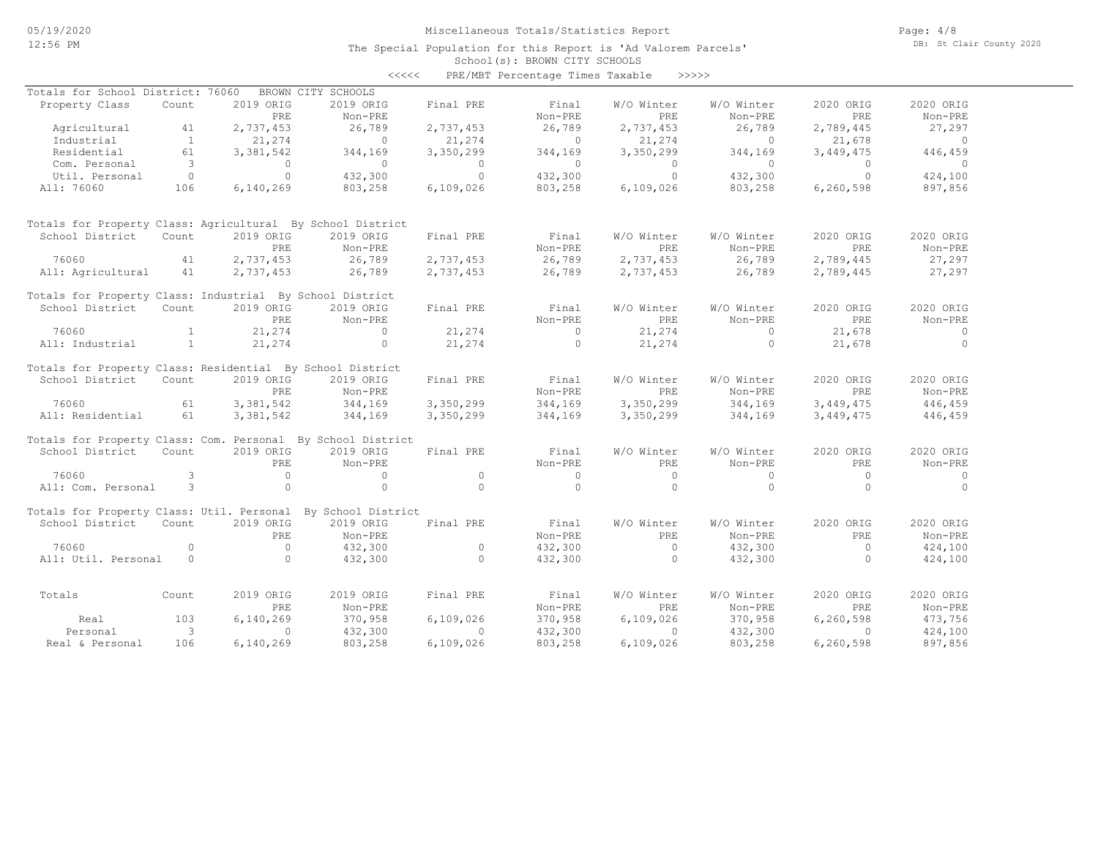#### School(s): BROWN CITY SCHOOLS The Special Population for this Report is 'Ad Valorem Parcels'

|                                                             |              |           |                    | $\prec\prec\prec\prec\prec$ | PRE/MBT Percentage Times Taxable |            | >>>>>      |           |                |
|-------------------------------------------------------------|--------------|-----------|--------------------|-----------------------------|----------------------------------|------------|------------|-----------|----------------|
| Totals for School District: 76060                           |              |           | BROWN CITY SCHOOLS |                             |                                  |            |            |           |                |
| Property Class                                              | Count        | 2019 ORIG | 2019 ORIG          | Final PRE                   | Final                            | W/O Winter | W/O Winter | 2020 ORIG | 2020 ORIG      |
|                                                             |              | PRE       | Non-PRE            |                             | Non-PRE                          | PRE        | Non-PRE    | PRE       | Non-PRE        |
| Agricultural                                                | 41           | 2,737,453 | 26,789             | 2,737,453                   | 26,789                           | 2,737,453  | 26,789     | 2,789,445 | 27,297         |
| Industrial                                                  | $\mathbf{1}$ | 21,274    | $\circ$            | 21,274                      | $\circ$                          | 21,274     | $\circ$    | 21,678    | $\overline{0}$ |
| Residential                                                 | 61           | 3,381,542 | 344,169            | 3,350,299                   | 344,169                          | 3,350,299  | 344,169    | 3,449,475 | 446,459        |
| Com. Personal                                               | 3            | $\circ$   | $\circ$            | $\Omega$                    | $\circ$                          | $\circ$    | $\circ$    | $\Omega$  | $\circ$        |
| Util. Personal                                              | $\circ$      | $\circ$   | 432,300            | $\Omega$                    | 432,300                          | $\Omega$   | 432,300    | $\Omega$  | 424,100        |
| All: 76060                                                  | 106          | 6,140,269 | 803,258            | 6,109,026                   | 803,258                          | 6,109,026  | 803,258    | 6,260,598 | 897,856        |
|                                                             |              |           |                    |                             |                                  |            |            |           |                |
| Totals for Property Class: Agricultural By School District  |              |           |                    |                             |                                  |            |            |           |                |
| School District                                             | Count        | 2019 ORIG | 2019 ORIG          | Final PRE                   | Final                            | W/O Winter | W/O Winter | 2020 ORIG | 2020 ORIG      |
|                                                             |              | PRE       | Non-PRE            |                             | Non-PRE                          | PRE        | Non-PRE    | PRE       | $Non-PRE$      |
| 76060                                                       | 41           | 2,737,453 | 26,789             | 2,737,453                   | 26,789                           | 2,737,453  | 26,789     | 2,789,445 | 27,297         |
| All: Agricultural                                           | 41           | 2,737,453 | 26,789             | 2,737,453                   | 26,789                           | 2,737,453  | 26,789     | 2,789,445 | 27,297         |
|                                                             |              |           |                    |                             |                                  |            |            |           |                |
| Totals for Property Class: Industrial By School District    |              |           |                    |                             |                                  |            |            |           |                |
| School District                                             | Count        | 2019 ORIG | 2019 ORIG          | Final PRE                   | Final                            | W/O Winter | W/O Winter | 2020 ORIG | 2020 ORIG      |
|                                                             |              | PRE       | Non-PRE            |                             | Non-PRE                          | PRE        | Non-PRE    | PRE       | Non-PRE        |
| 76060                                                       | $\mathbf{1}$ | 21,274    | $\mathbf{0}$       | 21,274                      | $\Omega$                         | 21,274     | $\Omega$   | 21,678    | $\circ$        |
| All: Industrial                                             | $\mathbf{1}$ | 21,274    | $\circ$            | 21,274                      | $\Omega$                         | 21,274     | $\circ$    | 21,678    | $\Omega$       |
| Totals for Property Class: Residential By School District   |              |           |                    |                             |                                  |            |            |           |                |
| School District                                             | Count        | 2019 ORIG | 2019 ORIG          | Final PRE                   | Final                            | W/O Winter | W/O Winter | 2020 ORIG | 2020 ORIG      |
|                                                             |              | PRE       | Non-PRE            |                             | Non-PRE                          | PRE        | Non-PRE    | PRE       | Non-PRE        |
| 76060                                                       | 61           | 3,381,542 | 344,169            | 3,350,299                   | 344,169                          | 3,350,299  | 344,169    | 3,449,475 | 446,459        |
| All: Residential                                            | 61           | 3,381,542 | 344,169            | 3,350,299                   | 344,169                          | 3,350,299  | 344,169    | 3,449,475 | 446,459        |
|                                                             |              |           |                    |                             |                                  |            |            |           |                |
| Totals for Property Class: Com. Personal By School District |              |           |                    |                             |                                  |            |            |           |                |
| School District                                             | Count        | 2019 ORIG | 2019 ORIG          | Final PRE                   | Final                            | W/O Winter | W/O Winter | 2020 ORIG | 2020 ORIG      |
|                                                             |              | PRE       | Non-PRE            |                             | Non-PRE                          | PRE        | Non-PRE    | PRE       | Non-PRE        |
| 76060                                                       | 3            | $\circ$   | $\circ$            | $\Omega$                    | $\mathbf{0}$                     | $\Omega$   | $\Omega$   | $\circ$   | $\circ$        |
| All: Com. Personal                                          | 3            | $\circ$   | $\circ$            | $\Omega$                    | $\circ$                          | $\Omega$   | $\circ$    | $\Omega$  | $\circ$        |
| Totals for Property Class: Util. Personal                   |              |           | By School District |                             |                                  |            |            |           |                |
| School District                                             | Count        | 2019 ORIG | 2019 ORIG          | Final PRE                   | Final                            | W/O Winter | W/O Winter | 2020 ORIG | 2020 ORIG      |
|                                                             |              | PRE       | Non-PRE            |                             | Non-PRE                          | PRE.       | Non-PRE    | PRE       | Non-PRE        |
| 76060                                                       | $\circ$      | $\circ$   | 432,300            | $\circ$                     | 432,300                          | $\circ$    | 432,300    | $\circ$   | 424,100        |
| All: Util. Personal                                         | $\circ$      | $\Omega$  | 432,300            | $\Omega$                    | 432,300                          | $\Omega$   | 432,300    | $\Omega$  | 424,100        |
|                                                             |              |           |                    |                             |                                  |            |            |           |                |
| Totals                                                      | Count        | 2019 ORIG | 2019 ORIG          | Final PRE                   | Final                            | W/O Winter | W/O Winter | 2020 ORIG | 2020 ORIG      |
|                                                             |              | PRE       | Non-PRE            |                             | Non-PRE                          | PRE        | Non-PRE    | PRE       | Non-PRE        |
| Real                                                        | 103          | 6,140,269 | 370,958            | 6,109,026                   | 370,958                          | 6,109,026  | 370,958    | 6,260,598 | 473,756        |
| Personal                                                    | 3            | 0         | 432,300            | $\Omega$                    | 432,300                          | 0          | 432,300    | $\circ$   | 424,100        |
| Real & Personal                                             | 106          | 6,140,269 | 803,258            | 6,109,026                   | 803,258                          | 6,109,026  | 803,258    | 6,260,598 | 897,856        |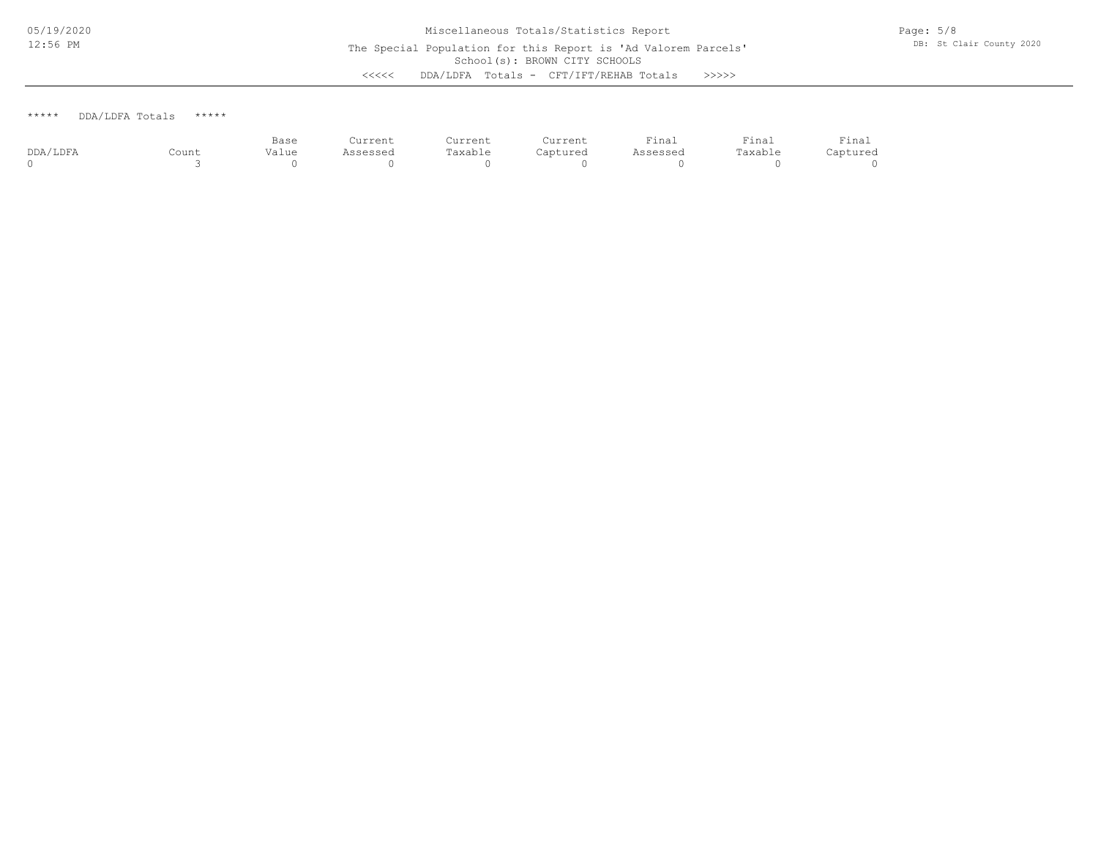\*\*\*\*\* DDA/LDFA Totals \*\*\*\*\*

|          |       | Base  | Current  | Current | Current  | Final    | $r$ inal | Final    |
|----------|-------|-------|----------|---------|----------|----------|----------|----------|
| DDA/LDFA | Count | Value | Assessed | Taxable | Captured | Assessed | Taxable  | Captured |
|          |       |       |          |         |          |          |          |          |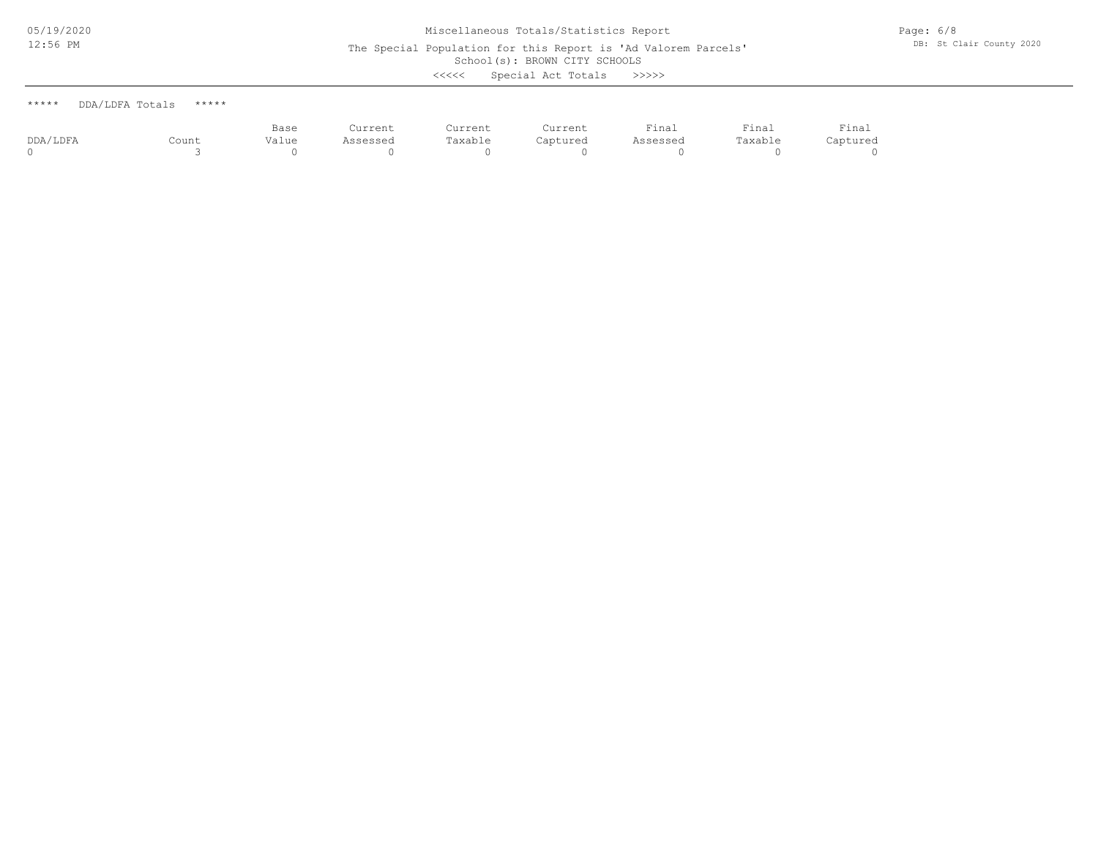The Special Population for this Report is 'Ad Valorem Parcels'

School(s): BROWN CITY SCHOOLS

<<<<< Special Act Totals >>>>>

| ***** | DDA/LDFA Totals | ***** |
|-------|-----------------|-------|
|       |                 |       |

|          |       | Base<br>. | Current  | Current | Current  | Final    | Final   | Final    |
|----------|-------|-----------|----------|---------|----------|----------|---------|----------|
| DDA/LDFA | Count | Value     | Assessed | Taxable | Captured | Assessed | Taxable | Captured |
|          |       |           |          |         |          |          |         |          |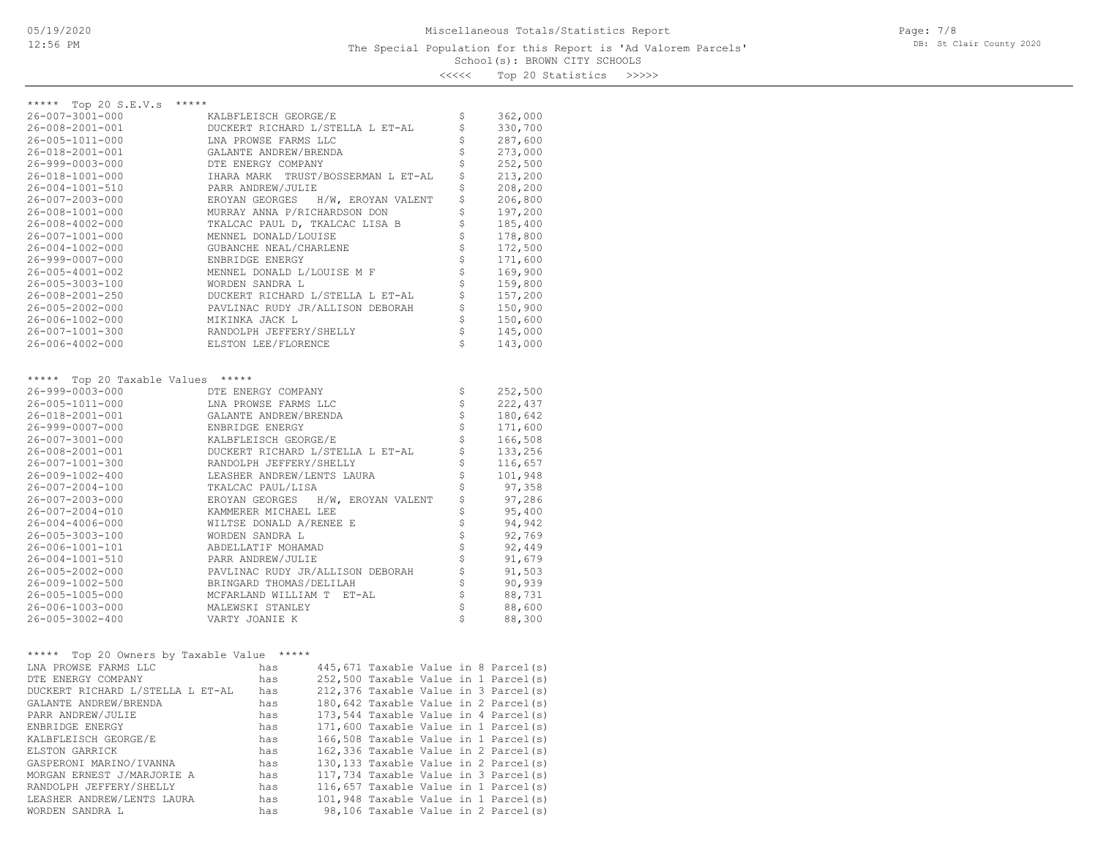### School(s): BROWN CITY SCHOOLS The Special Population for this Report is 'Ad Valorem Parcels'

Page: 7/8 DB: St Clair County 2020

<<<<< Top 20 Statistics >>>>>

| ***** Top 20 S.E.V.s<br>*****              |                                              |                                                   |         |
|--------------------------------------------|----------------------------------------------|---------------------------------------------------|---------|
| $26 - 007 - 3001 - 000$                    | KALBFLEISCH GEORGE/E                         | \$                                                | 362,000 |
| $26 - 008 - 2001 - 001$                    | DUCKERT RICHARD L/STELLA L ET-AL             | \$                                                | 330,700 |
| 26-005-1011-000                            | LNA PROWSE FARMS LLC                         | \$                                                | 287,600 |
| 26-018-2001-001                            | GALANTE ANDREW/BRENDA                        | \$                                                | 273,000 |
| 26-999-0003-000                            | DTE ENERGY COMPANY                           | \$                                                | 252,500 |
| 26-018-1001-000                            | IHARA MARK TRUST/BOSSERMAN L ET-AL           | \$                                                | 213,200 |
|                                            | PARR ANDREW/JULIE                            | \$                                                | 208,200 |
| 26-004-1001-510                            |                                              | \$                                                |         |
| 26-007-2003-000                            | EROYAN GEORGES<br>H/W, EROYAN VALENT         | \$                                                | 206,800 |
| 26-008-1001-000                            | MURRAY ANNA P/RICHARDSON DON                 | \$                                                | 197,200 |
| $26 - 008 - 4002 - 000$                    | TKALCAC PAUL D, TKALCAC LISA B               |                                                   | 185,400 |
| 26-007-1001-000                            | MENNEL DONALD/LOUISE                         | \$                                                | 178,800 |
| $26 - 004 - 1002 - 000$                    | GUBANCHE NEAL/CHARLENE                       | $\frac{1}{2}$                                     | 172,500 |
| 26-999-0007-000                            | ENBRIDGE ENERGY                              |                                                   | 171,600 |
| 26-005-4001-002                            | MENNEL DONALD L/LOUISE M F                   | $\begin{array}{c} \varphi \\ \varphi \end{array}$ | 169,900 |
| 26-005-3003-100                            | WORDEN SANDRA L                              |                                                   | 159,800 |
| 26-008-2001-250                            | DUCKERT RICHARD L/STELLA L ET-AL             | \$                                                | 157,200 |
| $26 - 005 - 2002 - 000$                    | PAVLINAC RUDY JR/ALLISON DEBORAH             | $\boldsymbol{\dot{\varsigma}}$                    | 150,900 |
| 26-006-1002-000                            | MIKINKA JACK L                               | $\dot{\varsigma}$                                 | 150,600 |
| 26-007-1001-300                            | RANDOLPH JEFFERY/SHELLY                      | $\hat{\varsigma}$                                 | 145,000 |
| $26 - 006 - 4002 - 000$                    | ELSTON LEE/FLORENCE                          | \$                                                | 143,000 |
|                                            |                                              |                                                   |         |
| ***** Top 20 Taxable Values *****          |                                              |                                                   |         |
| 26-999-0003-000                            | DTE ENERGY COMPANY                           | $\boldsymbol{\mathsf{S}}$                         | 252,500 |
| 26-005-1011-000                            | LNA PROWSE FARMS LLC                         | $\boldsymbol{\mathsf{S}}$                         | 222,437 |
| 26-018-2001-001                            | GALANTE ANDREW/BRENDA                        | $\boldsymbol{\dot{\varsigma}}$                    | 180,642 |
| 26-999-0007-000                            | ENBRIDGE ENERGY                              | $\boldsymbol{\dot{\varsigma}}$                    | 171,600 |
| 26-007-3001-000                            | KALBFLEISCH GEORGE/E                         | $\frac{1}{2}$                                     | 166,508 |
| 26-008-2001-001                            | DUCKERT RICHARD L/STELLA L ET-AL             |                                                   | 133,256 |
| 26-007-1001-300                            | RANDOLPH JEFFERY/SHELLY                      | \$                                                | 116,657 |
| 26-009-1002-400                            | LEASHER ANDREW/LENTS LAURA                   | \$                                                | 101,948 |
| $26 - 007 - 2004 - 100$                    | TKALCAC PAUL/LISA                            |                                                   | 97,358  |
| 26-007-2003-000                            | H/W, EROYAN VALENT<br>EROYAN GEORGES         | \$\$\$\$\$                                        | 97,286  |
| 26-007-2004-010                            | KAMMERER MICHAEL LEE                         |                                                   | 95,400  |
| $26 - 004 - 4006 - 000$                    | WILTSE DONALD A/RENEE E                      |                                                   | 94,942  |
| 26-005-3003-100                            | WORDEN SANDRA L                              | \$                                                | 92,769  |
| 26-006-1001-101                            | ABDELLATIF MOHAMAD                           |                                                   | 92,449  |
| 26-004-1001-510                            | PARR ANDREW/JULIE                            |                                                   | 91,679  |
| 26-005-2002-000                            | PAVLINAC RUDY JR/ALLISON DEBORAH             | \$\$\$                                            | 91,503  |
| 26-009-1002-500                            | BRINGARD THOMAS/DELILAH                      | $\boldsymbol{\dot{\varsigma}}$                    | 90,939  |
| 26-005-1005-000                            | MCFARLAND WILLIAM T ET-AL                    | $\stackrel{.}{\mathsf{S}}$                        | 88,731  |
| 26-006-1003-000                            | MALEWSKI STANLEY                             | $\uplus$                                          | 88,600  |
| $26 - 005 - 3002 - 400$                    | VARTY JOANIE K                               | \$                                                | 88,300  |
|                                            |                                              |                                                   |         |
|                                            |                                              |                                                   |         |
| ***** Top 20 Owners by Taxable Value ***** |                                              |                                                   |         |
| LNA PROWSE FARMS LLC                       | 445, 671 Taxable Value in 8 Parcel(s)<br>has |                                                   |         |
| DTE ENERGY COMPANY                         | 252,500 Taxable Value in 1 Parcel(s)<br>has  |                                                   |         |
| DUCKERT RICHARD L/STELLA L ET-AL           | 212,376 Taxable Value in 3 Parcel(s)<br>has  |                                                   |         |
| GALANTE ANDREW/BRENDA                      | 180,642 Taxable Value in 2 Parcel(s)<br>has  |                                                   |         |
| PARR ANDREW/JULIE                          | 173,544 Taxable Value in 4 Parcel(s)<br>has  |                                                   |         |
| ENBRIDGE ENERGY                            | 171,600 Taxable Value in 1 Parcel(s)<br>has  |                                                   |         |
| KALBFLEISCH GEORGE/E                       | 166,508 Taxable Value in 1 Parcel(s)<br>has  |                                                   |         |
| ELSTON GARRICK                             | 162,336 Taxable Value in 2 Parcel(s)<br>has  |                                                   |         |
| GASPERONI MARINO/IVANNA                    | 130,133 Taxable Value in 2 Parcel(s)<br>has  |                                                   |         |
| MORGAN ERNEST J/MARJORIE A                 | 117,734 Taxable Value in 3 Parcel(s)<br>has  |                                                   |         |

WORDEN SANDRA L has 98,106 Taxable Value in 2 Parcel(s) LEASHER ANDREW/LENTS LAURA has 101,948 Taxable Value in 1 Parcel(s) RANDOLPH JEFFERY/SHELLY has 116,657 Taxable Value in 1 Parcel(s)